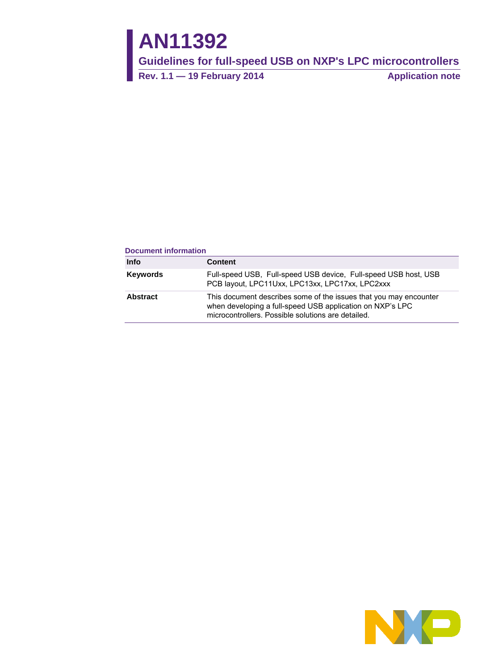# **AN11392**

**Guidelines for full-speed USB on NXP's LPC microcontrollers**

**Rev. 1.1 — 19 February 2014 Application note**

#### **Document information**

| Info     | Content                                                                                                                                                                              |
|----------|--------------------------------------------------------------------------------------------------------------------------------------------------------------------------------------|
| Keywords | Full-speed USB, Full-speed USB device, Full-speed USB host, USB<br>PCB layout, LPC11Uxx, LPC13xx, LPC17xx, LPC2xxx                                                                   |
| Abstract | This document describes some of the issues that you may encounter<br>when developing a full-speed USB application on NXP's LPC<br>microcontrollers. Possible solutions are detailed. |

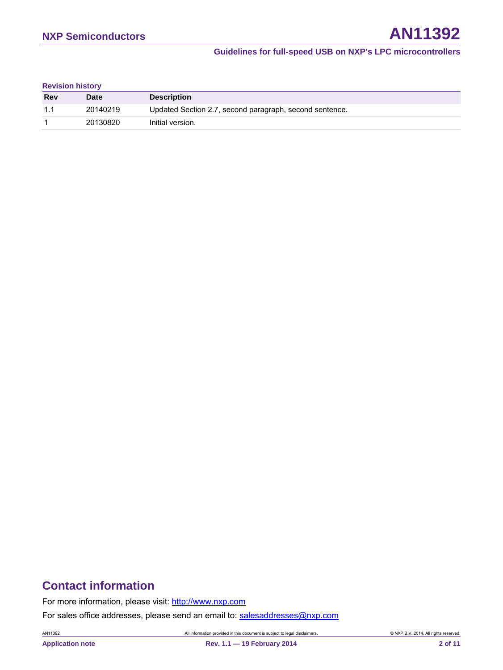### **Revision history**

| <b>Rev</b> | <b>Date</b> | <b>Description</b>                                      |
|------------|-------------|---------------------------------------------------------|
| 11         | 20140219    | Updated Section 2.7, second paragraph, second sentence. |
|            | 20130820    | Initial version.                                        |

# **Contact information**

For more information, please visit: [http://www.nxp.com](http://www.nxp.com/)

For sales office addresses, please send an email to: [salesaddresses@nxp.com](mailto:salesaddresses@nxp.com)

AN11392 All information provided in this document is subject to legal disclaimers. © NXP B.V. 2014. All rights reserved.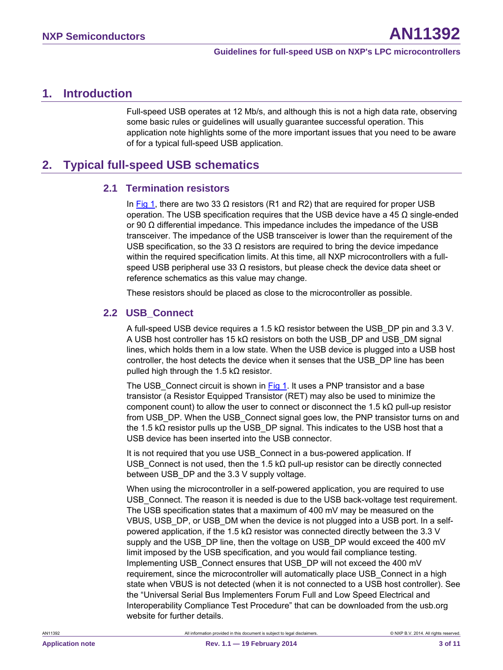# <span id="page-2-0"></span>**1. Introduction**

Full-speed USB operates at 12 Mb/s, and although this is not a high data rate, observing some basic rules or guidelines will usually guarantee successful operation. This application note highlights some of the more important issues that you need to be aware of for a typical full-speed USB application.

# <span id="page-2-1"></span>**2. Typical full-speed USB schematics**

## <span id="page-2-2"></span>**2.1 Termination resistors**

In [Fig 1,](#page-3-0) there are two 33 Ω resistors (R1 and R2) that are required for proper USB operation. The USB specification requires that the USB device have a 45 Ω single-ended or 90 Ω differential impedance. This impedance includes the impedance of the USB transceiver. The impedance of the USB transceiver is lower than the requirement of the USB specification, so the 33  $\Omega$  resistors are required to bring the device impedance within the required specification limits. At this time, all NXP microcontrollers with a fullspeed USB peripheral use 33  $\Omega$  resistors, but please check the device data sheet or reference schematics as this value may change.

<span id="page-2-3"></span>These resistors should be placed as close to the microcontroller as possible.

## **2.2 USB\_Connect**

A full-speed USB device requires a 1.5 kΩ resistor between the USB\_DP pin and 3.3 V. A USB host controller has 15 kΩ resistors on both the USB\_DP and USB\_DM signal lines, which holds them in a low state. When the USB device is plugged into a USB host controller, the host detects the device when it senses that the USB\_DP line has been pulled high through the 1.5 kΩ resistor.

The USB Connect circuit is shown in [Fig 1.](#page-3-0) It uses a PNP transistor and a base transistor (a Resistor Equipped Transistor (RET) may also be used to minimize the component count) to allow the user to connect or disconnect the 1.5 kΩ pull-up resistor from USB DP. When the USB Connect signal goes low, the PNP transistor turns on and the 1.5 k $\Omega$  resistor pulls up the USB DP signal. This indicates to the USB host that a USB device has been inserted into the USB connector.

It is not required that you use USB Connect in a bus-powered application. If USB Connect is not used, then the 1.5 kΩ pull-up resistor can be directly connected between USB DP and the 3.3 V supply voltage.

When using the microcontroller in a self-powered application, you are required to use USB\_Connect. The reason it is needed is due to the USB back-voltage test requirement. The USB specification states that a maximum of 400 mV may be measured on the VBUS, USB\_DP, or USB\_DM when the device is not plugged into a USB port. In a selfpowered application, if the 1.5 kΩ resistor was connected directly between the 3.3 V supply and the USB\_DP line, then the voltage on USB\_DP would exceed the 400 mV limit imposed by the USB specification, and you would fail compliance testing. Implementing USB\_Connect ensures that USB\_DP will not exceed the 400 mV requirement, since the microcontroller will automatically place USB\_Connect in a high state when VBUS is not detected (when it is not connected to a USB host controller). See the "Universal Serial Bus Implementers Forum Full and Low Speed Electrical and Interoperability Compliance Test Procedure" that can be downloaded from the usb.org website for further details.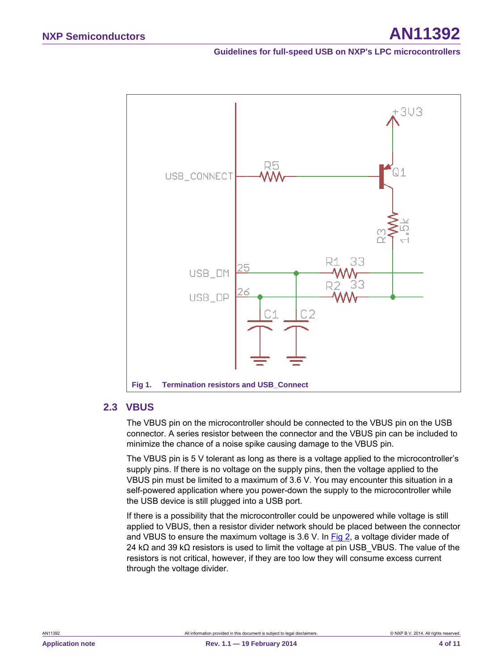

#### <span id="page-3-1"></span><span id="page-3-0"></span>**2.3 VBUS**

The VBUS pin on the microcontroller should be connected to the VBUS pin on the USB connector. A series resistor between the connector and the VBUS pin can be included to minimize the chance of a noise spike causing damage to the VBUS pin.

The VBUS pin is 5 V tolerant as long as there is a voltage applied to the microcontroller's supply pins. If there is no voltage on the supply pins, then the voltage applied to the VBUS pin must be limited to a maximum of 3.6 V. You may encounter this situation in a self-powered application where you power-down the supply to the microcontroller while the USB device is still plugged into a USB port.

If there is a possibility that the microcontroller could be unpowered while voltage is still applied to VBUS, then a resistor divider network should be placed between the connector and VBUS to ensure the maximum voltage is 3.6 V. In  $Fig 2$ , a voltage divider made of 24 kΩ and 39 kΩ resistors is used to limit the voltage at pin USB\_VBUS. The value of the resistors is not critical, however, if they are too low they will consume excess current through the voltage divider.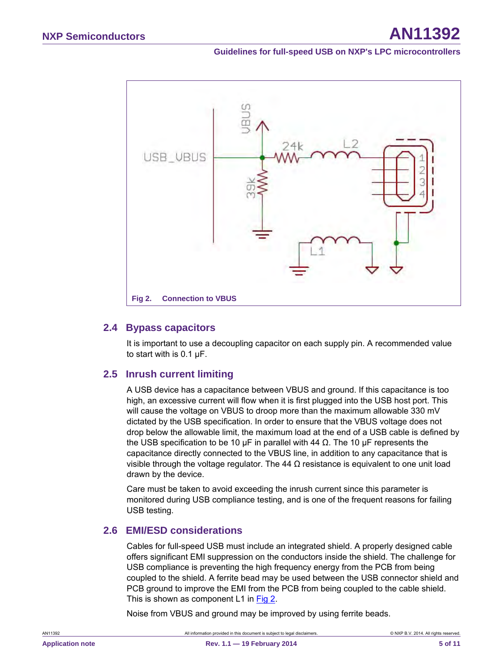

#### <span id="page-4-1"></span><span id="page-4-0"></span>**2.4 Bypass capacitors**

It is important to use a decoupling capacitor on each supply pin. A recommended value to start with is 0.1 µF.

#### <span id="page-4-2"></span>**2.5 Inrush current limiting**

A USB device has a capacitance between VBUS and ground. If this capacitance is too high, an excessive current will flow when it is first plugged into the USB host port. This will cause the voltage on VBUS to droop more than the maximum allowable 330 mV dictated by the USB specification. In order to ensure that the VBUS voltage does not drop below the allowable limit, the maximum load at the end of a USB cable is defined by the USB specification to be 10 μF in parallel with 44  $Ω$ . The 10 μF represents the capacitance directly connected to the VBUS line, in addition to any capacitance that is visible through the voltage regulator. The 44  $\Omega$  resistance is equivalent to one unit load drawn by the device.

Care must be taken to avoid exceeding the inrush current since this parameter is monitored during USB compliance testing, and is one of the frequent reasons for failing USB testing.

### <span id="page-4-3"></span>**2.6 EMI/ESD considerations**

Cables for full-speed USB must include an integrated shield. A properly designed cable offers significant EMI suppression on the conductors inside the shield. The challenge for USB compliance is preventing the high frequency energy from the PCB from being coupled to the shield. A ferrite bead may be used between the USB connector shield and PCB ground to improve the EMI from the PCB from being coupled to the cable shield. This is shown as component L1 in [Fig 2.](#page-4-0)

Noise from VBUS and ground may be improved by using ferrite beads.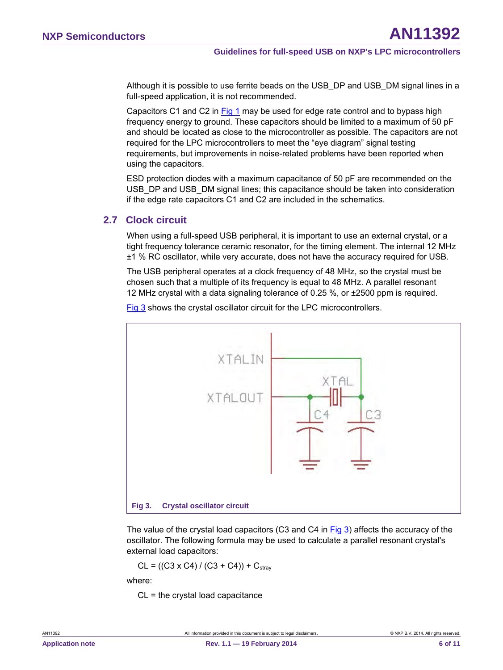Although it is possible to use ferrite beads on the USB\_DP and USB\_DM signal lines in a full-speed application, it is not recommended.

Capacitors C1 and C2 in [Fig 1](#page-3-0) may be used for edge rate control and to bypass high frequency energy to ground. These capacitors should be limited to a maximum of 50 pF and should be located as close to the microcontroller as possible. The capacitors are not required for the LPC microcontrollers to meet the "eye diagram" signal testing requirements, but improvements in noise-related problems have been reported when using the capacitors.

ESD protection diodes with a maximum capacitance of 50 pF are recommended on the USB\_DP and USB\_DM signal lines; this capacitance should be taken into consideration if the edge rate capacitors C1 and C2 are included in the schematics.

## <span id="page-5-0"></span>**2.7 Clock circuit**

When using a full-speed USB peripheral, it is important to use an external crystal, or a tight frequency tolerance ceramic resonator, for the timing element. The internal 12 MHz ±1 % RC oscillator, while very accurate, does not have the accuracy required for USB.

The USB peripheral operates at a clock frequency of 48 MHz, so the crystal must be chosen such that a multiple of its frequency is equal to 48 MHz. A parallel resonant 12 MHz crystal with a data signaling tolerance of 0.25 %, or ±2500 ppm is required.



[Fig 3](#page-5-1) shows the crystal oscillator circuit for the LPC microcontrollers.

<span id="page-5-1"></span>The value of the crystal load capacitors (C3 and C4 in [Fig 3\)](#page-5-1) affects the accuracy of the oscillator. The following formula may be used to calculate a parallel resonant crystal's external load capacitors:

 $CL = ((C3 \times C4) / (C3 + C4)) + C<sub>strav</sub>$ 

where:

 $CL =$  the crystal load capacitance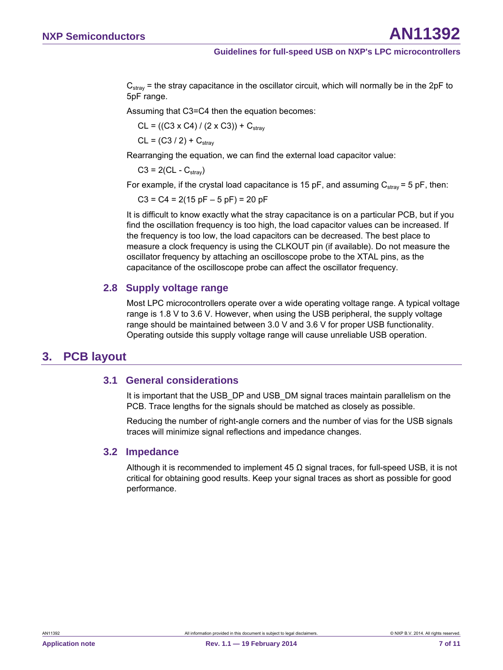$C_{\text{strav}}$  = the stray capacitance in the oscillator circuit, which will normally be in the 2pF to 5pF range.

Assuming that C3=C4 then the equation becomes:

 $CL = ((C3 \times C4) / (2 \times C3)) + C<sub>strav</sub>$ 

 $CL = (C3 / 2) + C_{strav}$ 

Rearranging the equation, we can find the external load capacitor value:

 $C3 = 2(CL - C<sub>strav</sub>)$ 

For example, if the crystal load capacitance is 15 pF, and assuming  $C_{\text{stray}} = 5$  pF, then:

 $C3 = C4 = 2(15 pF - 5 pF) = 20 pF$ 

It is difficult to know exactly what the stray capacitance is on a particular PCB, but if you find the oscillation frequency is too high, the load capacitor values can be increased. If the frequency is too low, the load capacitors can be decreased. The best place to measure a clock frequency is using the CLKOUT pin (if available). Do not measure the oscillator frequency by attaching an oscilloscope probe to the XTAL pins, as the capacitance of the oscilloscope probe can affect the oscillator frequency.

### <span id="page-6-0"></span>**2.8 Supply voltage range**

Most LPC microcontrollers operate over a wide operating voltage range. A typical voltage range is 1.8 V to 3.6 V. However, when using the USB peripheral, the supply voltage range should be maintained between 3.0 V and 3.6 V for proper USB functionality. Operating outside this supply voltage range will cause unreliable USB operation.

# <span id="page-6-1"></span>**3. PCB layout**

### <span id="page-6-2"></span>**3.1 General considerations**

It is important that the USB\_DP and USB\_DM signal traces maintain parallelism on the PCB. Trace lengths for the signals should be matched as closely as possible.

Reducing the number of right-angle corners and the number of vias for the USB signals traces will minimize signal reflections and impedance changes.

### <span id="page-6-3"></span>**3.2 Impedance**

Although it is recommended to implement 45 Ω signal traces, for full-speed USB, it is not critical for obtaining good results. Keep your signal traces as short as possible for good performance.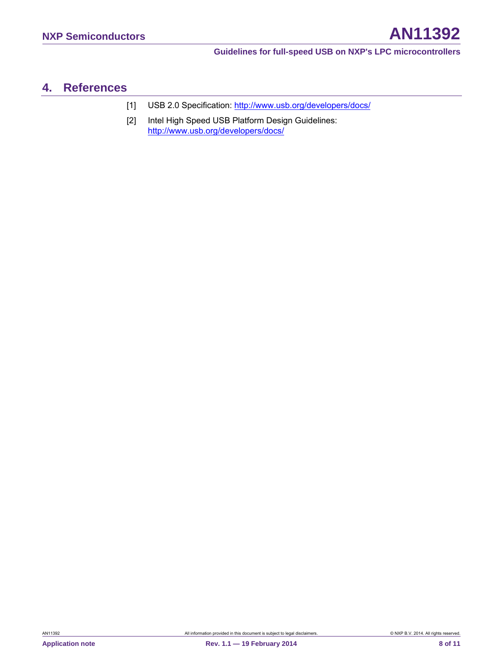# <span id="page-7-0"></span>**4. References**

- [1] USB 2.0 Specification: [http://www.usb.org/developers/docs/](http://www.nxp.com/redirect/usb.org/developers/docs/)
- [2] Intel High Speed USB Platform Design Guidelines: [http://www.usb.org/developers/docs/](http://www.nxp.com/redirect/usb.org/developers/docs/)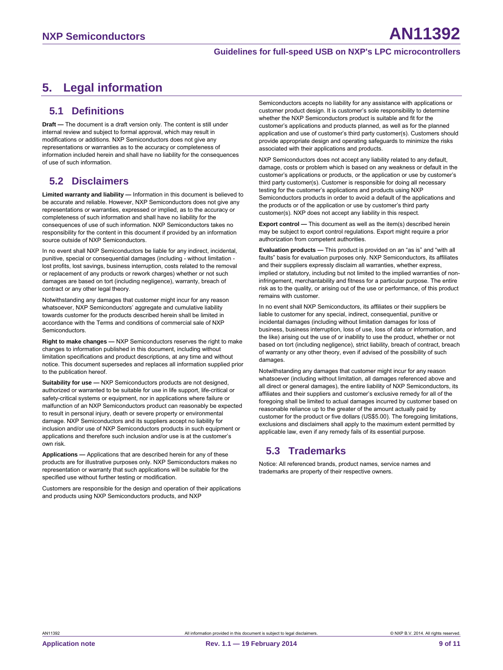# <span id="page-8-0"></span>**5. Legal information**

## <span id="page-8-1"></span>**5.1 Definitions**

**Draft —** The document is a draft version only. The content is still under internal review and subject to formal approval, which may result in modifications or additions. NXP Semiconductors does not give any representations or warranties as to the accuracy or completeness of information included herein and shall have no liability for the consequences of use of such information.

# <span id="page-8-2"></span>**5.2 Disclaimers**

**Limited warranty and liability —** Information in this document is believed to be accurate and reliable. However, NXP Semiconductors does not give any representations or warranties, expressed or implied, as to the accuracy or completeness of such information and shall have no liability for the consequences of use of such information. NXP Semiconductors takes no responsibility for the content in this document if provided by an information source outside of NXP Semiconductors.

In no event shall NXP Semiconductors be liable for any indirect, incidental, punitive, special or consequential damages (including - without limitation lost profits, lost savings, business interruption, costs related to the removal or replacement of any products or rework charges) whether or not such damages are based on tort (including negligence), warranty, breach of contract or any other legal theory.

Notwithstanding any damages that customer might incur for any reason whatsoever, NXP Semiconductors' aggregate and cumulative liability towards customer for the products described herein shall be limited in accordance with the Terms and conditions of commercial sale of NXP **Semiconductors** 

**Right to make changes —** NXP Semiconductors reserves the right to make changes to information published in this document, including without limitation specifications and product descriptions, at any time and without notice. This document supersedes and replaces all information supplied prior to the publication hereof.

**Suitability for use —** NXP Semiconductors products are not designed, authorized or warranted to be suitable for use in life support, life-critical or safety-critical systems or equipment, nor in applications where failure or malfunction of an NXP Semiconductors product can reasonably be expected to result in personal injury, death or severe property or environmental damage. NXP Semiconductors and its suppliers accept no liability for inclusion and/or use of NXP Semiconductors products in such equipment or applications and therefore such inclusion and/or use is at the customer's own risk.

**Applications —** Applications that are described herein for any of these products are for illustrative purposes only. NXP Semiconductors makes no representation or warranty that such applications will be suitable for the specified use without further testing or modification.

Customers are responsible for the design and operation of their applications and products using NXP Semiconductors products, and NXP

Semiconductors accepts no liability for any assistance with applications or customer product design. It is customer's sole responsibility to determine whether the NXP Semiconductors product is suitable and fit for the customer's applications and products planned, as well as for the planned application and use of customer's third party customer(s). Customers should provide appropriate design and operating safeguards to minimize the risks associated with their applications and products.

NXP Semiconductors does not accept any liability related to any default, damage, costs or problem which is based on any weakness or default in the customer's applications or products, or the application or use by customer's third party customer(s). Customer is responsible for doing all necessary testing for the customer's applications and products using NXP Semiconductors products in order to avoid a default of the applications and the products or of the application or use by customer's third party customer(s). NXP does not accept any liability in this respect.

**Export control —** This document as well as the item(s) described herein may be subject to export control regulations. Export might require a prior authorization from competent authorities.

**Evaluation products —** This product is provided on an "as is" and "with all faults" basis for evaluation purposes only. NXP Semiconductors, its affiliates and their suppliers expressly disclaim all warranties, whether express, implied or statutory, including but not limited to the implied warranties of noninfringement, merchantability and fitness for a particular purpose. The entire risk as to the quality, or arising out of the use or performance, of this product remains with customer.

In no event shall NXP Semiconductors, its affiliates or their suppliers be liable to customer for any special, indirect, consequential, punitive or incidental damages (including without limitation damages for loss of business, business interruption, loss of use, loss of data or information, and the like) arising out the use of or inability to use the product, whether or not based on tort (including negligence), strict liability, breach of contract, breach of warranty or any other theory, even if advised of the possibility of such damages.

Notwithstanding any damages that customer might incur for any reason whatsoever (including without limitation, all damages referenced above and all direct or general damages), the entire liability of NXP Semiconductors, its affiliates and their suppliers and customer's exclusive remedy for all of the foregoing shall be limited to actual damages incurred by customer based on reasonable reliance up to the greater of the amount actually paid by customer for the product or five dollars (US\$5.00). The foregoing limitations, exclusions and disclaimers shall apply to the maximum extent permitted by applicable law, even if any remedy fails of its essential purpose.

# <span id="page-8-3"></span>**5.3 Trademarks**

Notice: All referenced brands, product names, service names and trademarks are property of their respective owners.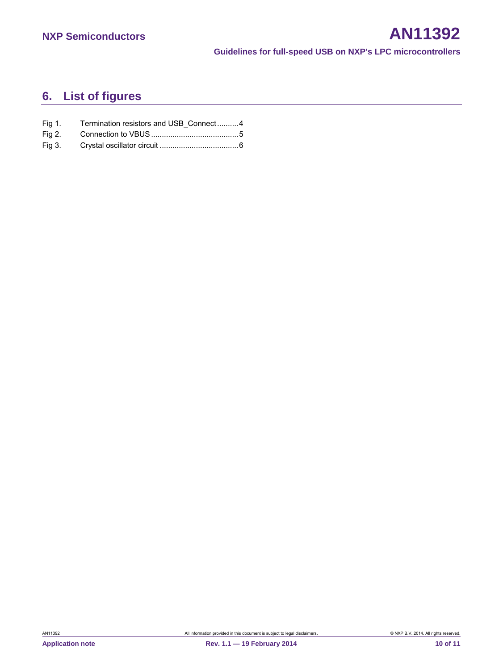# <span id="page-9-0"></span>**6. List of figures**

| Fig 1. | Termination resistors and USB Connect4 |  |
|--------|----------------------------------------|--|
|        |                                        |  |
|        |                                        |  |